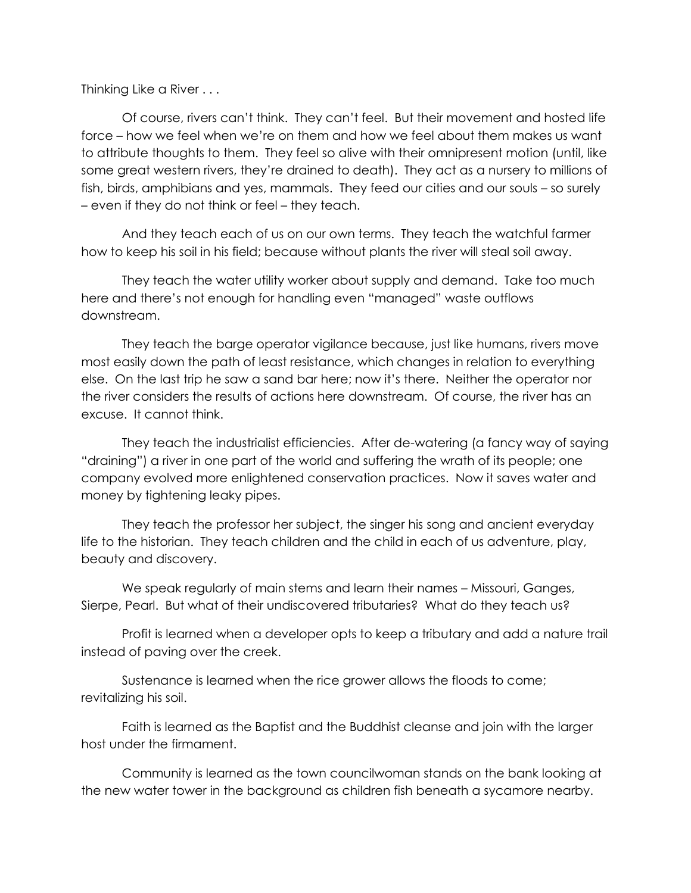Thinking Like a River . . .

Of course, rivers can't think. They can't feel. But their movement and hosted life force – how we feel when we're on them and how we feel about them makes us want to attribute thoughts to them. They feel so alive with their omnipresent motion (until, like some great western rivers, they're drained to death). They act as a nursery to millions of fish, birds, amphibians and yes, mammals. They feed our cities and our souls – so surely – even if they do not think or feel – they teach.

And they teach each of us on our own terms. They teach the watchful farmer how to keep his soil in his field; because without plants the river will steal soil away.

They teach the water utility worker about supply and demand. Take too much here and there's not enough for handling even "managed" waste outflows downstream.

They teach the barge operator vigilance because, just like humans, rivers move most easily down the path of least resistance, which changes in relation to everything else. On the last trip he saw a sand bar here; now it's there. Neither the operator nor the river considers the results of actions here downstream. Of course, the river has an excuse. It cannot think.

They teach the industrialist efficiencies. After de-watering (a fancy way of saying "draining") a river in one part of the world and suffering the wrath of its people; one company evolved more enlightened conservation practices. Now it saves water and money by tightening leaky pipes.

They teach the professor her subject, the singer his song and ancient everyday life to the historian. They teach children and the child in each of us adventure, play, beauty and discovery.

We speak regularly of main stems and learn their names – Missouri, Ganges, Sierpe, Pearl. But what of their undiscovered tributaries? What do they teach us?

Profit is learned when a developer opts to keep a tributary and add a nature trail instead of paving over the creek.

Sustenance is learned when the rice grower allows the floods to come; revitalizing his soil.

Faith is learned as the Baptist and the Buddhist cleanse and join with the larger host under the firmament.

Community is learned as the town councilwoman stands on the bank looking at the new water tower in the background as children fish beneath a sycamore nearby.